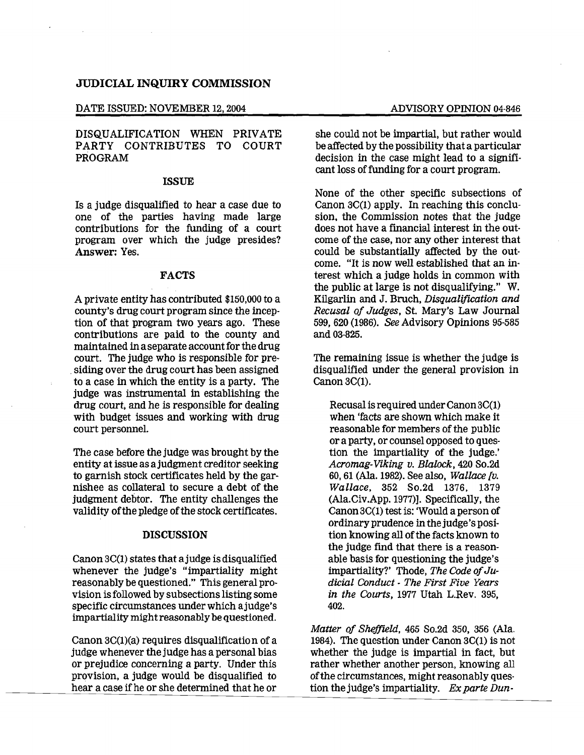## JUDICIAL INQUIRY COMMISSION

#### DATE ISSUED: NOVEMBER 12, 2004 ADVISORY OPINION 04-846

## DISQUALIFICATION WHEN PRIVATE PARTY CONTRIBUTES TO COURT PROGRAM

## ISSUE

Is a judge disqualified to hear a case due to one of the parties having made large contributions for the funding of a court program over which the judge presides? Answer: Yes.

### FACTS

A private entity has contributed \$150,000 to a county's drug court program since the inception of that program two years ago. These contributions are paid to the county and maintained in a separate account for the drug court. The judge who is responsible for pre .siding over the drug court has been assigned to a case in which the entity is a party. The judge was instrumental in establishing the drug court, and he is responsible for dealing with budget issues and working with drug court personnel.

The case before the judge was brought by the entity at issue as ajudgment creditor seeking to garnish stock certificates held by the garnishee as collateral to secure a debt of the judgment debtor. The entity challenges the validity of the pledge of the stock certificates.

### DISCUSSION

Canon 3C(1) states that ajudge is disqualified whenever the judge's "impartiality might reasonably be questioned." This general provision isfollowed by subsectionslisting some specific circumstances under which ajudge's impartiality mightreasonably be questioned.

Canon 3C(1)(a) requires disqualification of a judge whenever the judge has a personal bias or prejudice concerning a party. Under this provision, a judge would be disqualified to hear a case if he or she determined that he or

she could not be impartial, but rather would be affected by the possibility that a particular decision in the case might lead to a significant loss of funding for a court program.

None of the other specific subsections of Canon 3C(1) apply. In reaching this conclusion, the Commission notes that the judge does not have a financial interest in the out· come of the case, nor any other interest that could be substantially affected by the outcome. "It is now well established that an interest which a judge holds in common with the public at large is not disqualifying." W. Kilgarlin and J. Bruch, *Disqualification and Recusal of Judges,* St. Mary's Law Journal 599,620 (1986). *See* Advisory Opinions 95-585 and 03-825.

The remaining issue is whether the judge is disqualified under the general provision in Canon 3C(1).

Recusal is required underCanon 3C(1) when 'facts are shown which make it reasonable for members of the public or a party, or counsel opposed to question the impartiality of the judge.' *Acromag-Viking v. Blalock,* 420 So.2d 60, 61 (Ala. 1982). See also, *Wallace [v. Wallace,* 352 So.2d 1376, 1379 (Ala.Civ.App. 1977)]. Specifically, the Canon 3C(1) test is: 'Would a person of ordinary prudence in the judge's position knowing all of the facts known to the judge fInd that there is a reasonable basis for questioning the judge's impartiality?' Thode, The Code of Ju*dicial Conduct* - *The First Five Years in the Courts,* 1977 Utah L.Rev. 395, 402.

*Matter of ShefFzeld,* 465 So.2d 350, 356 (Ala. 1984). The question under Canon 3C(1) is not whether the judge is impartial in fact, but rather whether another person, knowing all of the circumstances, might reasonably question the judge's impartiality. *Ex parte Dun*